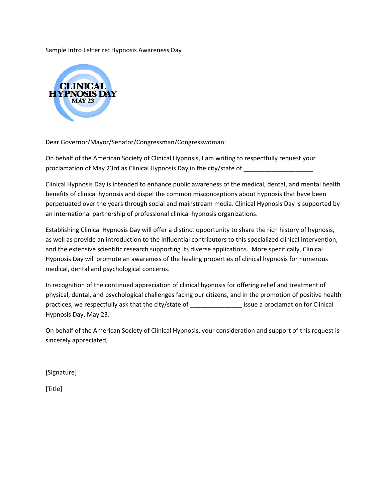Sample Intro Letter re: Hypnosis Awareness Day



Dear Governor/Mayor/Senator/Congressman/Congresswoman:

On behalf of the American Society of Clinical Hypnosis, I am writing to respectfully request your proclamation of May 23rd as Clinical Hypnosis Day in the city/state of

Clinical Hypnosis Day is intended to enhance public awareness of the medical, dental, and mental health benefits of clinical hypnosis and dispel the common misconceptions about hypnosis that have been perpetuated over the years through social and mainstream media. Clinical Hypnosis Day is supported by an international partnership of professional clinical hypnosis organizations.

Establishing Clinical Hypnosis Day will offer a distinct opportunity to share the rich history of hypnosis, as well as provide an introduction to the influential contributors to this specialized clinical intervention, and the extensive scientific research supporting its diverse applications. More specifically, Clinical Hypnosis Day will promote an awareness of the healing properties of clinical hypnosis for numerous medical, dental and psychological concerns.

In recognition of the continued appreciation of clinical hypnosis for offering relief and treatment of physical, dental, and psychological challenges facing our citizens, and in the promotion of positive health practices, we respectfully ask that the city/state of **which issue a proclamation for Clinical** Hypnosis Day, May 23.

On behalf of the American Society of Clinical Hypnosis, your consideration and support of this request is sincerely appreciated,

[Signature]

[Title]